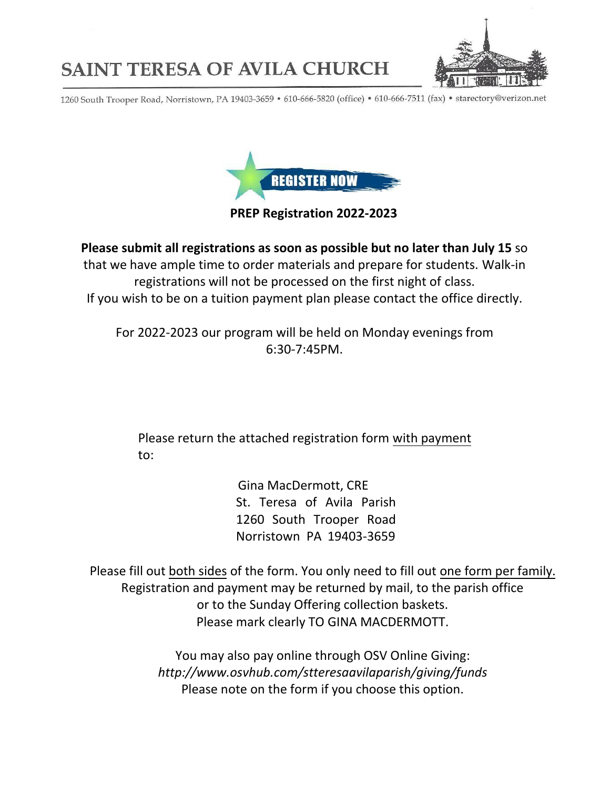

## **SAINT TERESA OF AVILA CHURCH**

1260 South Trooper Road, Norristown, PA 19403-3659 · 610-666-5820 (office) · 610-666-7511 (fax) · starectory@verizon.net



## **PREP Registration 2022-2023**

**Please submit all registrations as soon as possible but no later than July 15** so that we have ample time to order materials and prepare for students. Walk-in registrations will not be processed on the first night of class. If you wish to be on a tuition payment plan please contact the office directly.

For 2022-2023 our program will be held on Monday evenings from 6:30-7:45PM.

Please return the attached registration form with payment to:

> Gina MacDermott, CRE St. Teresa of Avila Parish 1260 South Trooper Road Norristown PA 19403-3659

Please fill out both sides of the form. You only need to fill out one form per family. Registration and payment may be returned by mail, to the parish office or to the Sunday Offering collection baskets. Please mark clearly TO GINA MACDERMOTT.

> You may also pay online through OSV Online Giving: *http://w[ww.osvhub.com/stteresaavilaparish/givi](http://www.osvonlinegiving.com/4395)ng/funds*  Please note on the form if you choose this option.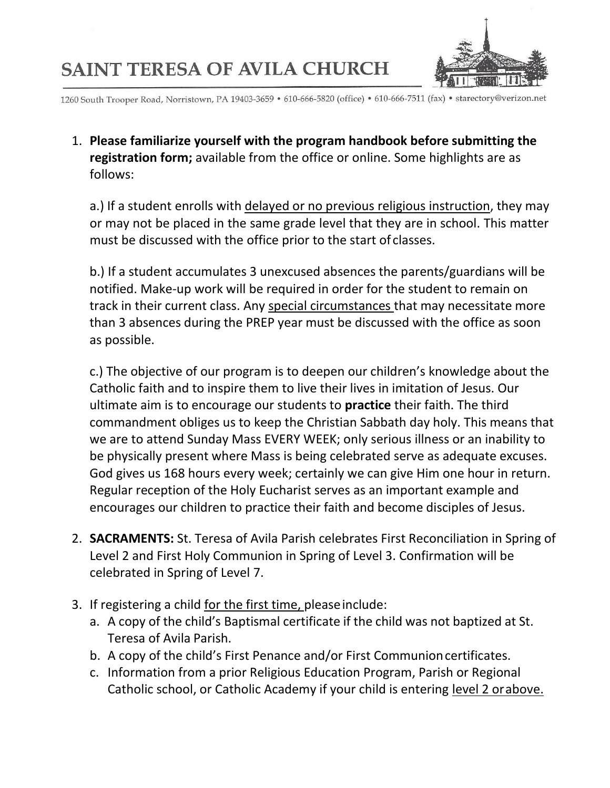## **SAINT TERESA OF AVILA CHURCH**



1260 South Trooper Road, Norristown, PA 19403-3659 · 610-666-5820 (office) · 610-666-7511 (fax) · starectory@verizon.net

1. **Please familiarize yourself with the program handbook before submitting the registration form;** available from the office or online. Some highlights are as follows:

a.) If a student enrolls with delayed or no previous religious instruction, they may or may not be placed in the same grade level that they are in school. This matter must be discussed with the office prior to the start of classes.

b.) If a student accumulates 3 unexcused absences the parents/guardians will be notified. Make-up work will be required in order for the student to remain on track in their current class. Any special circumstances that may necessitate more than 3 absences during the PREP year must be discussed with the office as soon as possible.

c.) The objective of our program is to deepen our children's knowledge about the Catholic faith and to inspire them to live their lives in imitation of Jesus. Our ultimate aim is to encourage our students to **practice** their faith. The third commandment obliges us to keep the Christian Sabbath day holy. This means that we are to attend Sunday Mass EVERY WEEK; only serious illness or an inability to be physically present where Mass is being celebrated serve as adequate excuses. God gives us 168 hours every week; certainly we can give Him one hour in return. Regular reception of the Holy Eucharist serves as an important example and encourages our children to practice their faith and become disciples of Jesus.

- 2. **SACRAMENTS:** St. Teresa of Avila Parish celebrates First Reconciliation in Spring of Level 2 and First Holy Communion in Spring of Level 3. Confirmation will be celebrated in Spring of Level 7.
- 3. If registering a child for the first time, pleaseinclude:
	- a. A copy of the child's Baptismal certificate if the child was not baptized at St. Teresa of Avila Parish.
	- b. A copy of the child's First Penance and/or First Communioncertificates.
	- c. Information from a prior Religious Education Program, Parish or Regional Catholic school, or Catholic Academy if your child is entering level 2 orabove.